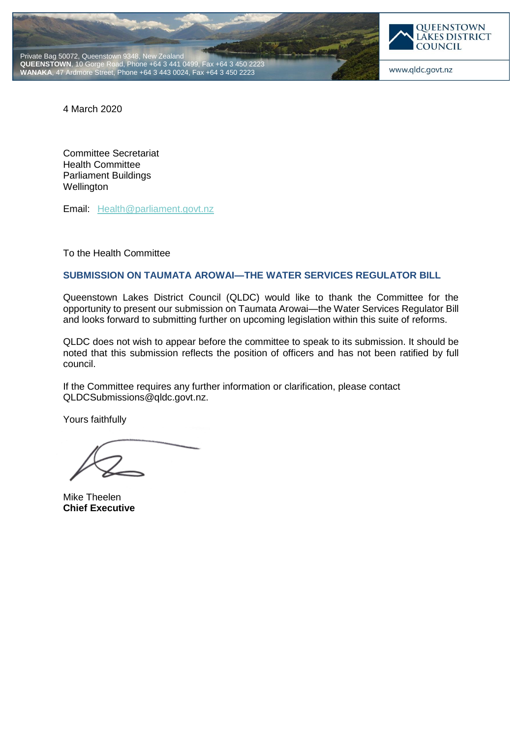



www.qldc.govt.nz

4 March 2020

Committee Secretariat Health Committee Parliament Buildings **Wellington** 

Email: [Health@parliament.govt.nz](mailto:Health@parliament.govt.nz)

To the Health Committee

### **SUBMISSION ON TAUMATA AROWAI—THE WATER SERVICES REGULATOR BILL**

Queenstown Lakes District Council (QLDC) would like to thank the Committee for the opportunity to present our submission on Taumata Arowai—the Water Services Regulator Bill and looks forward to submitting further on upcoming legislation within this suite of reforms.

QLDC does not wish to appear before the committee to speak to its submission. It should be noted that this submission reflects the position of officers and has not been ratified by full council.

If the Committee requires any further information or clarification, please contact QLDCSubmissions@qldc.govt.nz.

Yours faithfully

Mike Theelen **Chief Executive**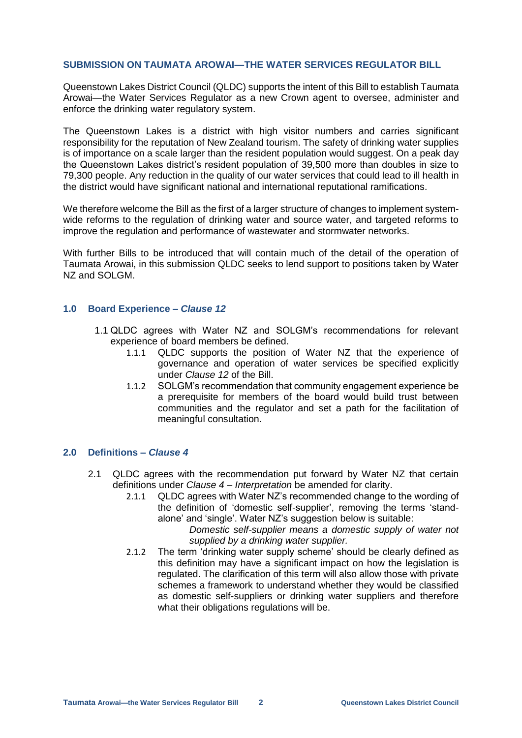### **SUBMISSION ON TAUMATA AROWAI—THE WATER SERVICES REGULATOR BILL**

Queenstown Lakes District Council (QLDC) supports the intent of this Bill to establish Taumata Arowai—the Water Services Regulator as a new Crown agent to oversee, administer and enforce the drinking water regulatory system.

The Queenstown Lakes is a district with high visitor numbers and carries significant responsibility for the reputation of New Zealand tourism. The safety of drinking water supplies is of importance on a scale larger than the resident population would suggest. On a peak day the Queenstown Lakes district's resident population of 39,500 more than doubles in size to 79,300 people. Any reduction in the quality of our water services that could lead to ill health in the district would have significant national and international reputational ramifications.

We therefore welcome the Bill as the first of a larger structure of changes to implement systemwide reforms to the regulation of drinking water and source water, and targeted reforms to improve the regulation and performance of wastewater and stormwater networks.

With further Bills to be introduced that will contain much of the detail of the operation of Taumata Arowai, in this submission QLDC seeks to lend support to positions taken by Water NZ and SOLGM.

#### **1.0 Board Experience –** *Clause 12*

- 1.1 QLDC agrees with Water NZ and SOLGM's recommendations for relevant experience of board members be defined.
	- 1.1.1 QLDC supports the position of Water NZ that the experience of governance and operation of water services be specified explicitly under *Clause 12* of the Bill.
	- 1.1.2 SOLGM's recommendation that community engagement experience be a prerequisite for members of the board would build trust between communities and the regulator and set a path for the facilitation of meaningful consultation.

# **2.0 Definitions –** *Clause 4*

- 2.1 QLDC agrees with the recommendation put forward by Water NZ that certain definitions under *Clause 4 – Interpretation* be amended for clarity.
	- 2.1.1 QLDC agrees with Water NZ's recommended change to the wording of the definition of 'domestic self-supplier', removing the terms 'standalone' and 'single'. Water NZ's suggestion below is suitable:

*Domestic self-supplier means a domestic supply of water not supplied by a drinking water supplier.*

2.1.2 The term 'drinking water supply scheme' should be clearly defined as this definition may have a significant impact on how the legislation is regulated. The clarification of this term will also allow those with private schemes a framework to understand whether they would be classified as domestic self-suppliers or drinking water suppliers and therefore what their obligations regulations will be.